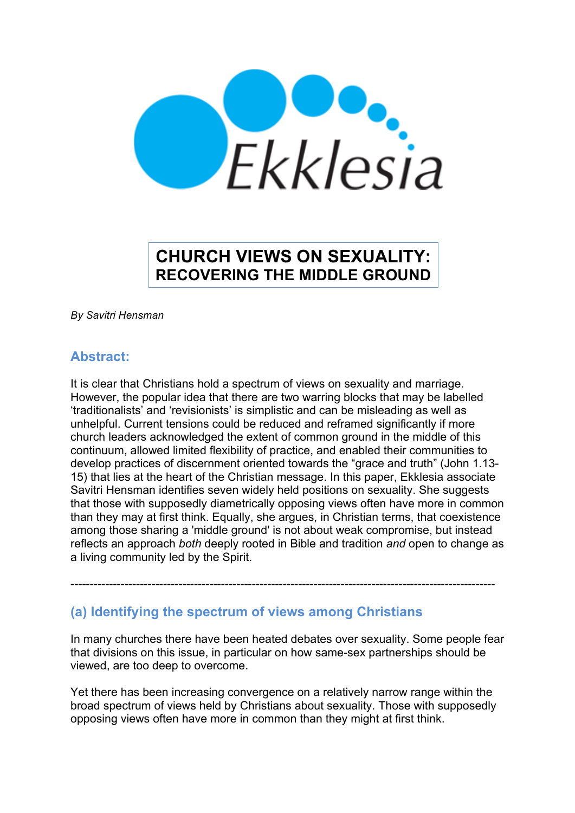

# **CHURCH VIEWS ON SEXUALITY: RECOVERING THE MIDDLE GROUND**

*By Savitri Hensman*

# **Abstract:**

It is clear that Christians hold a spectrum of views on sexuality and marriage. However, the popular idea that there are two warring blocks that may be labelled 'traditionalists' and 'revisionists' is simplistic and can be misleading as well as unhelpful. Current tensions could be reduced and reframed significantly if more church leaders acknowledged the extent of common ground in the middle of this continuum, allowed limited flexibility of practice, and enabled their communities to develop practices of discernment oriented towards the "grace and truth" (John 1.13- 15) that lies at the heart of the Christian message. In this paper, Ekklesia associate Savitri Hensman identifies seven widely held positions on sexuality. She suggests that those with supposedly diametrically opposing views often have more in common than they may at first think. Equally, she argues, in Christian terms, that coexistence among those sharing a 'middle ground' is not about weak compromise, but instead reflects an approach *both* deeply rooted in Bible and tradition *and* open to change as a living community led by the Spirit.

# **(a) Identifying the spectrum of views among Christians**

In many churches there have been heated debates over sexuality. Some people fear that divisions on this issue, in particular on how same-sex partnerships should be viewed, are too deep to overcome.

--------------------------------------------------------------------------------------------------------------

Yet there has been increasing convergence on a relatively narrow range within the broad spectrum of views held by Christians about sexuality. Those with supposedly opposing views often have more in common than they might at first think.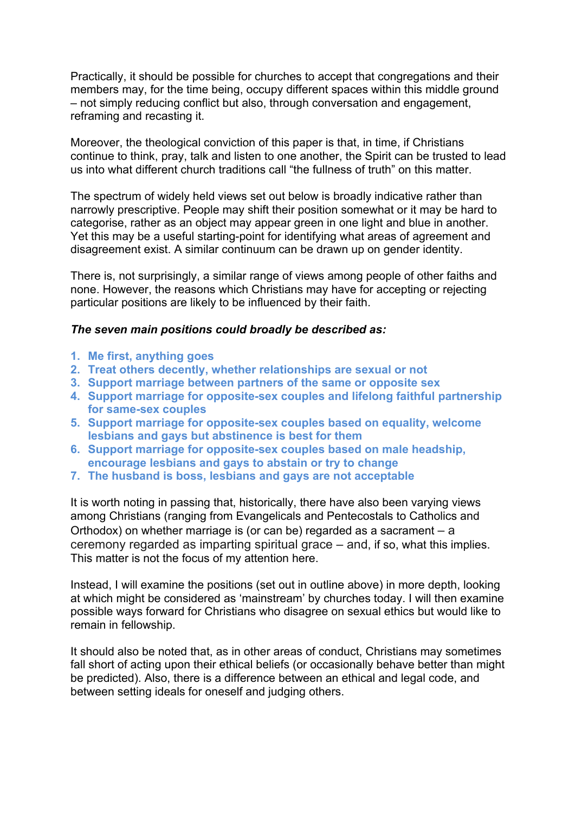Practically, it should be possible for churches to accept that congregations and their members may, for the time being, occupy different spaces within this middle ground – not simply reducing conflict but also, through conversation and engagement, reframing and recasting it.

Moreover, the theological conviction of this paper is that, in time, if Christians continue to think, pray, talk and listen to one another, the Spirit can be trusted to lead us into what different church traditions call "the fullness of truth" on this matter.

The spectrum of widely held views set out below is broadly indicative rather than narrowly prescriptive. People may shift their position somewhat or it may be hard to categorise, rather as an object may appear green in one light and blue in another. Yet this may be a useful starting-point for identifying what areas of agreement and disagreement exist. A similar continuum can be drawn up on gender identity.

There is, not surprisingly, a similar range of views among people of other faiths and none. However, the reasons which Christians may have for accepting or rejecting particular positions are likely to be influenced by their faith.

### *The seven main positions could broadly be described as:*

- **1. Me first, anything goes**
- **2. Treat others decently, whether relationships are sexual or not**
- **3. Support marriage between partners of the same or opposite sex**
- **4. Support marriage for opposite-sex couples and lifelong faithful partnership for same-sex couples**
- **5. Support marriage for opposite-sex couples based on equality, welcome lesbians and gays but abstinence is best for them**
- **6. Support marriage for opposite-sex couples based on male headship, encourage lesbians and gays to abstain or try to change**
- **7. The husband is boss, lesbians and gays are not acceptable**

It is worth noting in passing that, historically, there have also been varying views among Christians (ranging from Evangelicals and Pentecostals to Catholics and Orthodox) on whether marriage is (or can be) regarded as a sacrament – a ceremony regarded as imparting spiritual grace – and, if so, what this implies. This matter is not the focus of my attention here.

Instead, I will examine the positions (set out in outline above) in more depth, looking at which might be considered as 'mainstream' by churches today. I will then examine possible ways forward for Christians who disagree on sexual ethics but would like to remain in fellowship.

It should also be noted that, as in other areas of conduct, Christians may sometimes fall short of acting upon their ethical beliefs (or occasionally behave better than might be predicted). Also, there is a difference between an ethical and legal code, and between setting ideals for oneself and judging others.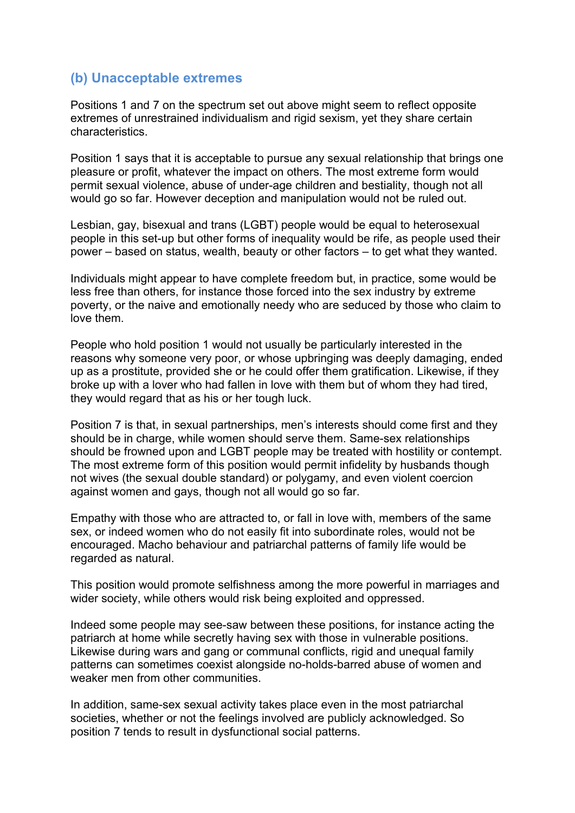# **(b) Unacceptable extremes**

Positions 1 and 7 on the spectrum set out above might seem to reflect opposite extremes of unrestrained individualism and rigid sexism, yet they share certain characteristics.

Position 1 says that it is acceptable to pursue any sexual relationship that brings one pleasure or profit, whatever the impact on others. The most extreme form would permit sexual violence, abuse of under-age children and bestiality, though not all would go so far. However deception and manipulation would not be ruled out.

Lesbian, gay, bisexual and trans (LGBT) people would be equal to heterosexual people in this set-up but other forms of inequality would be rife, as people used their power – based on status, wealth, beauty or other factors – to get what they wanted.

Individuals might appear to have complete freedom but, in practice, some would be less free than others, for instance those forced into the sex industry by extreme poverty, or the naive and emotionally needy who are seduced by those who claim to love them.

People who hold position 1 would not usually be particularly interested in the reasons why someone very poor, or whose upbringing was deeply damaging, ended up as a prostitute, provided she or he could offer them gratification. Likewise, if they broke up with a lover who had fallen in love with them but of whom they had tired, they would regard that as his or her tough luck.

Position 7 is that, in sexual partnerships, men's interests should come first and they should be in charge, while women should serve them. Same-sex relationships should be frowned upon and LGBT people may be treated with hostility or contempt. The most extreme form of this position would permit infidelity by husbands though not wives (the sexual double standard) or polygamy, and even violent coercion against women and gays, though not all would go so far.

Empathy with those who are attracted to, or fall in love with, members of the same sex, or indeed women who do not easily fit into subordinate roles, would not be encouraged. Macho behaviour and patriarchal patterns of family life would be regarded as natural.

This position would promote selfishness among the more powerful in marriages and wider society, while others would risk being exploited and oppressed.

Indeed some people may see-saw between these positions, for instance acting the patriarch at home while secretly having sex with those in vulnerable positions. Likewise during wars and gang or communal conflicts, rigid and unequal family patterns can sometimes coexist alongside no-holds-barred abuse of women and weaker men from other communities.

In addition, same-sex sexual activity takes place even in the most patriarchal societies, whether or not the feelings involved are publicly acknowledged. So position 7 tends to result in dysfunctional social patterns.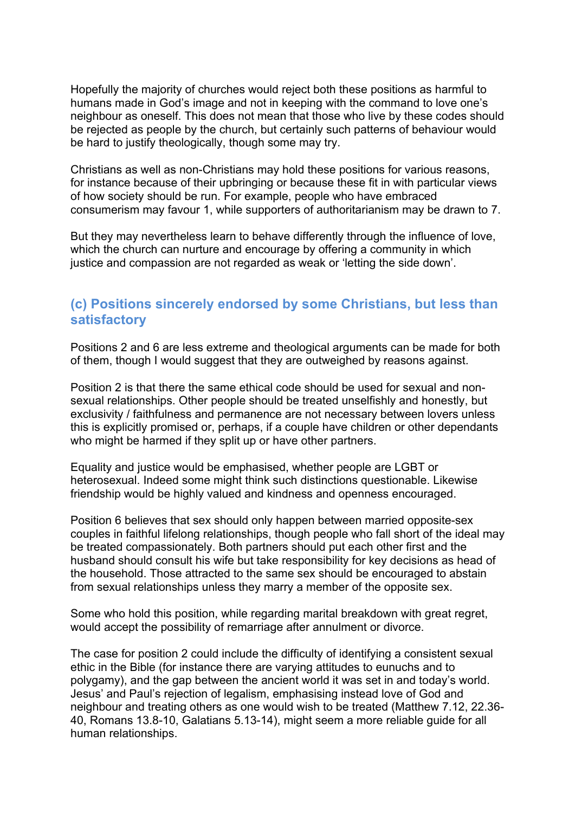Hopefully the majority of churches would reject both these positions as harmful to humans made in God's image and not in keeping with the command to love one's neighbour as oneself. This does not mean that those who live by these codes should be rejected as people by the church, but certainly such patterns of behaviour would be hard to justify theologically, though some may try.

Christians as well as non-Christians may hold these positions for various reasons, for instance because of their upbringing or because these fit in with particular views of how society should be run. For example, people who have embraced consumerism may favour 1, while supporters of authoritarianism may be drawn to 7.

But they may nevertheless learn to behave differently through the influence of love, which the church can nurture and encourage by offering a community in which justice and compassion are not regarded as weak or 'letting the side down'.

# **(c) Positions sincerely endorsed by some Christians, but less than satisfactory**

Positions 2 and 6 are less extreme and theological arguments can be made for both of them, though I would suggest that they are outweighed by reasons against.

Position 2 is that there the same ethical code should be used for sexual and nonsexual relationships. Other people should be treated unselfishly and honestly, but exclusivity / faithfulness and permanence are not necessary between lovers unless this is explicitly promised or, perhaps, if a couple have children or other dependants who might be harmed if they split up or have other partners.

Equality and justice would be emphasised, whether people are LGBT or heterosexual. Indeed some might think such distinctions questionable. Likewise friendship would be highly valued and kindness and openness encouraged.

Position 6 believes that sex should only happen between married opposite-sex couples in faithful lifelong relationships, though people who fall short of the ideal may be treated compassionately. Both partners should put each other first and the husband should consult his wife but take responsibility for key decisions as head of the household. Those attracted to the same sex should be encouraged to abstain from sexual relationships unless they marry a member of the opposite sex.

Some who hold this position, while regarding marital breakdown with great regret, would accept the possibility of remarriage after annulment or divorce.

The case for position 2 could include the difficulty of identifying a consistent sexual ethic in the Bible (for instance there are varying attitudes to eunuchs and to polygamy), and the gap between the ancient world it was set in and today's world. Jesus' and Paul's rejection of legalism, emphasising instead love of God and neighbour and treating others as one would wish to be treated (Matthew 7.12, 22.36- 40, Romans 13.8-10, Galatians 5.13-14), might seem a more reliable guide for all human relationships.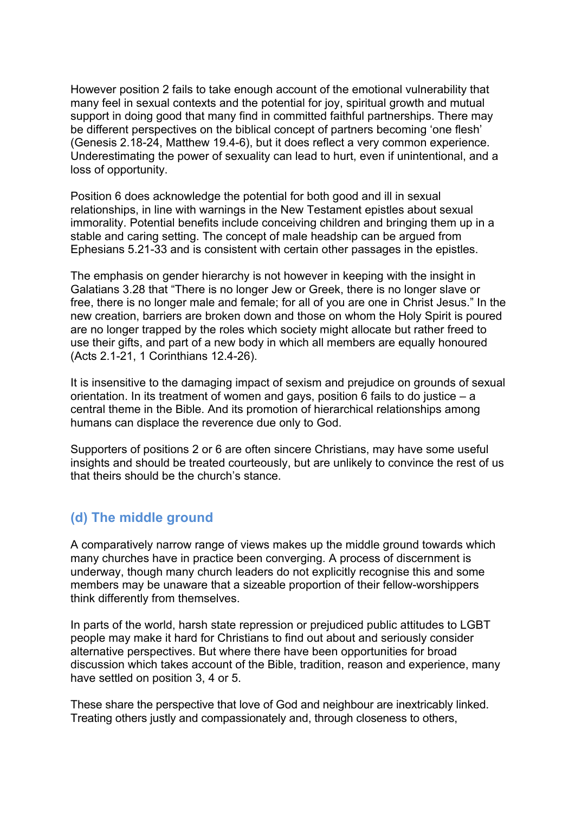However position 2 fails to take enough account of the emotional vulnerability that many feel in sexual contexts and the potential for joy, spiritual growth and mutual support in doing good that many find in committed faithful partnerships. There may be different perspectives on the biblical concept of partners becoming 'one flesh' (Genesis 2.18-24, Matthew 19.4-6), but it does reflect a very common experience. Underestimating the power of sexuality can lead to hurt, even if unintentional, and a loss of opportunity.

Position 6 does acknowledge the potential for both good and ill in sexual relationships, in line with warnings in the New Testament epistles about sexual immorality. Potential benefits include conceiving children and bringing them up in a stable and caring setting. The concept of male headship can be argued from Ephesians 5.21-33 and is consistent with certain other passages in the epistles.

The emphasis on gender hierarchy is not however in keeping with the insight in Galatians 3.28 that "There is no longer Jew or Greek, there is no longer slave or free, there is no longer male and female; for all of you are one in Christ Jesus." In the new creation, barriers are broken down and those on whom the Holy Spirit is poured are no longer trapped by the roles which society might allocate but rather freed to use their gifts, and part of a new body in which all members are equally honoured (Acts 2.1-21, 1 Corinthians 12.4-26).

It is insensitive to the damaging impact of sexism and prejudice on grounds of sexual orientation. In its treatment of women and gays, position 6 fails to do justice – a central theme in the Bible. And its promotion of hierarchical relationships among humans can displace the reverence due only to God.

Supporters of positions 2 or 6 are often sincere Christians, may have some useful insights and should be treated courteously, but are unlikely to convince the rest of us that theirs should be the church's stance.

# **(d) The middle ground**

A comparatively narrow range of views makes up the middle ground towards which many churches have in practice been converging. A process of discernment is underway, though many church leaders do not explicitly recognise this and some members may be unaware that a sizeable proportion of their fellow-worshippers think differently from themselves.

In parts of the world, harsh state repression or prejudiced public attitudes to LGBT people may make it hard for Christians to find out about and seriously consider alternative perspectives. But where there have been opportunities for broad discussion which takes account of the Bible, tradition, reason and experience, many have settled on position 3, 4 or 5.

These share the perspective that love of God and neighbour are inextricably linked. Treating others justly and compassionately and, through closeness to others,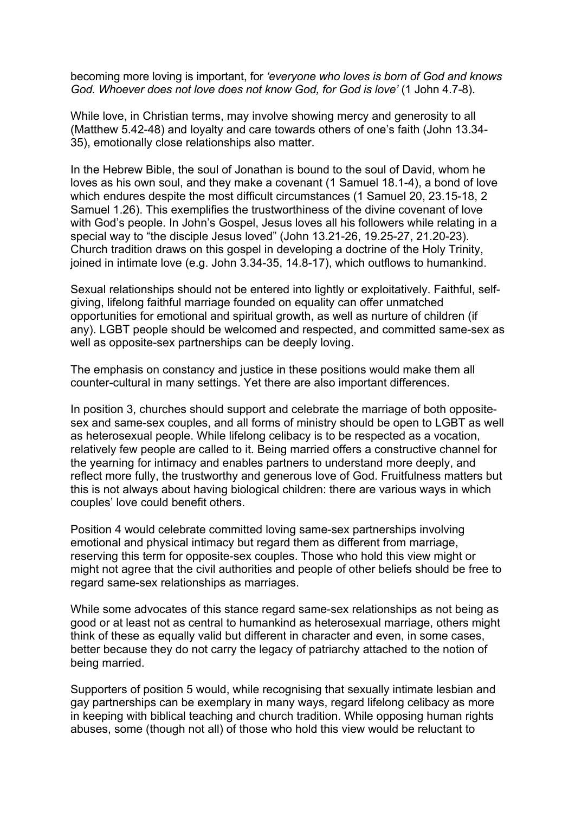becoming more loving is important, for *'everyone who loves is born of God and knows God. Whoever does not love does not know God, for God is love'* (1 John 4.7-8).

While love, in Christian terms, may involve showing mercy and generosity to all (Matthew 5.42-48) and loyalty and care towards others of one's faith (John 13.34- 35), emotionally close relationships also matter.

In the Hebrew Bible, the soul of Jonathan is bound to the soul of David, whom he loves as his own soul, and they make a covenant (1 Samuel 18.1-4), a bond of love which endures despite the most difficult circumstances (1 Samuel 20, 23, 15-18, 2 Samuel 1.26). This exemplifies the trustworthiness of the divine covenant of love with God's people. In John's Gospel, Jesus loves all his followers while relating in a special way to "the disciple Jesus loved" (John 13.21-26, 19.25-27, 21.20-23). Church tradition draws on this gospel in developing a doctrine of the Holy Trinity, joined in intimate love (e.g. John 3.34-35, 14.8-17), which outflows to humankind.

Sexual relationships should not be entered into lightly or exploitatively. Faithful, selfgiving, lifelong faithful marriage founded on equality can offer unmatched opportunities for emotional and spiritual growth, as well as nurture of children (if any). LGBT people should be welcomed and respected, and committed same-sex as well as opposite-sex partnerships can be deeply loving.

The emphasis on constancy and justice in these positions would make them all counter-cultural in many settings. Yet there are also important differences.

In position 3, churches should support and celebrate the marriage of both oppositesex and same-sex couples, and all forms of ministry should be open to LGBT as well as heterosexual people. While lifelong celibacy is to be respected as a vocation, relatively few people are called to it. Being married offers a constructive channel for the yearning for intimacy and enables partners to understand more deeply, and reflect more fully, the trustworthy and generous love of God. Fruitfulness matters but this is not always about having biological children: there are various ways in which couples' love could benefit others.

Position 4 would celebrate committed loving same-sex partnerships involving emotional and physical intimacy but regard them as different from marriage, reserving this term for opposite-sex couples. Those who hold this view might or might not agree that the civil authorities and people of other beliefs should be free to regard same-sex relationships as marriages.

While some advocates of this stance regard same-sex relationships as not being as good or at least not as central to humankind as heterosexual marriage, others might think of these as equally valid but different in character and even, in some cases, better because they do not carry the legacy of patriarchy attached to the notion of being married.

Supporters of position 5 would, while recognising that sexually intimate lesbian and gay partnerships can be exemplary in many ways, regard lifelong celibacy as more in keeping with biblical teaching and church tradition. While opposing human rights abuses, some (though not all) of those who hold this view would be reluctant to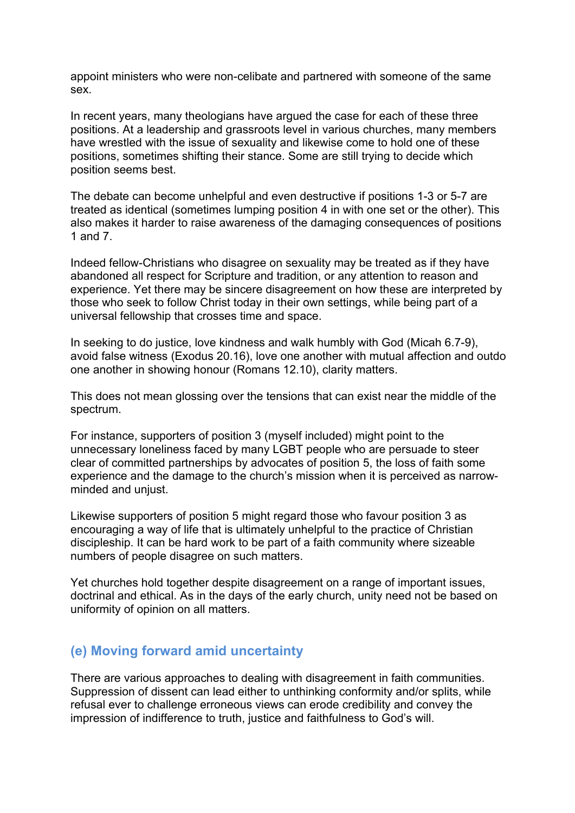appoint ministers who were non-celibate and partnered with someone of the same sex.

In recent years, many theologians have argued the case for each of these three positions. At a leadership and grassroots level in various churches, many members have wrestled with the issue of sexuality and likewise come to hold one of these positions, sometimes shifting their stance. Some are still trying to decide which position seems best.

The debate can become unhelpful and even destructive if positions 1-3 or 5-7 are treated as identical (sometimes lumping position 4 in with one set or the other). This also makes it harder to raise awareness of the damaging consequences of positions 1 and 7.

Indeed fellow-Christians who disagree on sexuality may be treated as if they have abandoned all respect for Scripture and tradition, or any attention to reason and experience. Yet there may be sincere disagreement on how these are interpreted by those who seek to follow Christ today in their own settings, while being part of a universal fellowship that crosses time and space.

In seeking to do justice, love kindness and walk humbly with God (Micah 6.7-9), avoid false witness (Exodus 20.16), love one another with mutual affection and outdo one another in showing honour (Romans 12.10), clarity matters.

This does not mean glossing over the tensions that can exist near the middle of the spectrum.

For instance, supporters of position 3 (myself included) might point to the unnecessary loneliness faced by many LGBT people who are persuade to steer clear of committed partnerships by advocates of position 5, the loss of faith some experience and the damage to the church's mission when it is perceived as narrowminded and unjust.

Likewise supporters of position 5 might regard those who favour position 3 as encouraging a way of life that is ultimately unhelpful to the practice of Christian discipleship. It can be hard work to be part of a faith community where sizeable numbers of people disagree on such matters.

Yet churches hold together despite disagreement on a range of important issues, doctrinal and ethical. As in the days of the early church, unity need not be based on uniformity of opinion on all matters.

# **(e) Moving forward amid uncertainty**

There are various approaches to dealing with disagreement in faith communities. Suppression of dissent can lead either to unthinking conformity and/or splits, while refusal ever to challenge erroneous views can erode credibility and convey the impression of indifference to truth, justice and faithfulness to God's will.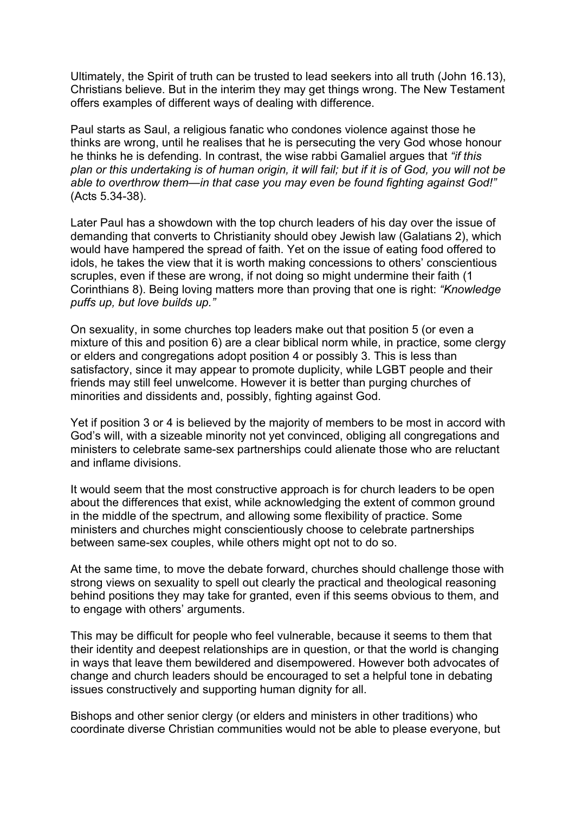Ultimately, the Spirit of truth can be trusted to lead seekers into all truth (John 16.13), Christians believe. But in the interim they may get things wrong. The New Testament offers examples of different ways of dealing with difference.

Paul starts as Saul, a religious fanatic who condones violence against those he thinks are wrong, until he realises that he is persecuting the very God whose honour he thinks he is defending. In contrast, the wise rabbi Gamaliel argues that *"if this plan or this undertaking is of human origin, it will fail; but if it is of God, you will not be able to overthrow them—in that case you may even be found fighting against God!"* (Acts 5.34-38).

Later Paul has a showdown with the top church leaders of his day over the issue of demanding that converts to Christianity should obey Jewish law (Galatians 2), which would have hampered the spread of faith. Yet on the issue of eating food offered to idols, he takes the view that it is worth making concessions to others' conscientious scruples, even if these are wrong, if not doing so might undermine their faith (1 Corinthians 8). Being loving matters more than proving that one is right: *"Knowledge puffs up, but love builds up."*

On sexuality, in some churches top leaders make out that position 5 (or even a mixture of this and position 6) are a clear biblical norm while, in practice, some clergy or elders and congregations adopt position 4 or possibly 3. This is less than satisfactory, since it may appear to promote duplicity, while LGBT people and their friends may still feel unwelcome. However it is better than purging churches of minorities and dissidents and, possibly, fighting against God.

Yet if position 3 or 4 is believed by the majority of members to be most in accord with God's will, with a sizeable minority not yet convinced, obliging all congregations and ministers to celebrate same-sex partnerships could alienate those who are reluctant and inflame divisions.

It would seem that the most constructive approach is for church leaders to be open about the differences that exist, while acknowledging the extent of common ground in the middle of the spectrum, and allowing some flexibility of practice. Some ministers and churches might conscientiously choose to celebrate partnerships between same-sex couples, while others might opt not to do so.

At the same time, to move the debate forward, churches should challenge those with strong views on sexuality to spell out clearly the practical and theological reasoning behind positions they may take for granted, even if this seems obvious to them, and to engage with others' arguments.

This may be difficult for people who feel vulnerable, because it seems to them that their identity and deepest relationships are in question, or that the world is changing in ways that leave them bewildered and disempowered. However both advocates of change and church leaders should be encouraged to set a helpful tone in debating issues constructively and supporting human dignity for all.

Bishops and other senior clergy (or elders and ministers in other traditions) who coordinate diverse Christian communities would not be able to please everyone, but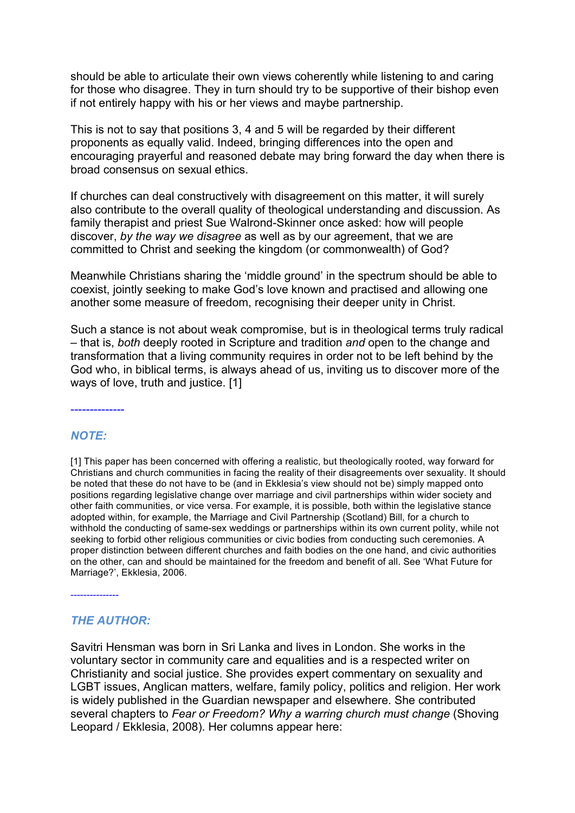should be able to articulate their own views coherently while listening to and caring for those who disagree. They in turn should try to be supportive of their bishop even if not entirely happy with his or her views and maybe partnership.

This is not to say that positions 3, 4 and 5 will be regarded by their different proponents as equally valid. Indeed, bringing differences into the open and encouraging prayerful and reasoned debate may bring forward the day when there is broad consensus on sexual ethics.

If churches can deal constructively with disagreement on this matter, it will surely also contribute to the overall quality of theological understanding and discussion. As family therapist and priest Sue Walrond-Skinner once asked: how will people discover, *by the way we disagree* as well as by our agreement, that we are committed to Christ and seeking the kingdom (or commonwealth) of God?

Meanwhile Christians sharing the 'middle ground' in the spectrum should be able to coexist, jointly seeking to make God's love known and practised and allowing one another some measure of freedom, recognising their deeper unity in Christ.

Such a stance is not about weak compromise, but is in theological terms truly radical – that is, *both* deeply rooted in Scripture and tradition *and* open to the change and transformation that a living community requires in order not to be left behind by the God who, in biblical terms, is always ahead of us, inviting us to discover more of the ways of love, truth and justice. [1]

### *NOTE:*

--------------

[1] This paper has been concerned with offering a realistic, but theologically rooted, way forward for Christians and church communities in facing the reality of their disagreements over sexuality. It should be noted that these do not have to be (and in Ekklesia's view should not be) simply mapped onto positions regarding legislative change over marriage and civil partnerships within wider society and other faith communities, or vice versa. For example, it is possible, both within the legislative stance adopted within, for example, the Marriage and Civil Partnership (Scotland) Bill, for a church to withhold the conducting of same-sex weddings or partnerships within its own current polity, while not seeking to forbid other religious communities or civic bodies from conducting such ceremonies. A proper distinction between different churches and faith bodies on the one hand, and civic authorities on the other, can and should be maintained for the freedom and benefit of all. See 'What Future for Marriage?', Ekklesia, 2006.

---------------

## *THE AUTHOR:*

Savitri Hensman was born in Sri Lanka and lives in London. She works in the voluntary sector in community care and equalities and is a respected writer on Christianity and social justice. She provides expert commentary on sexuality and LGBT issues, Anglican matters, welfare, family policy, politics and religion. Her work is widely published in the Guardian newspaper and elsewhere. She contributed several chapters to *Fear or Freedom? Why a warring church must change* (Shoving Leopard / Ekklesia, 2008). Her columns appear here: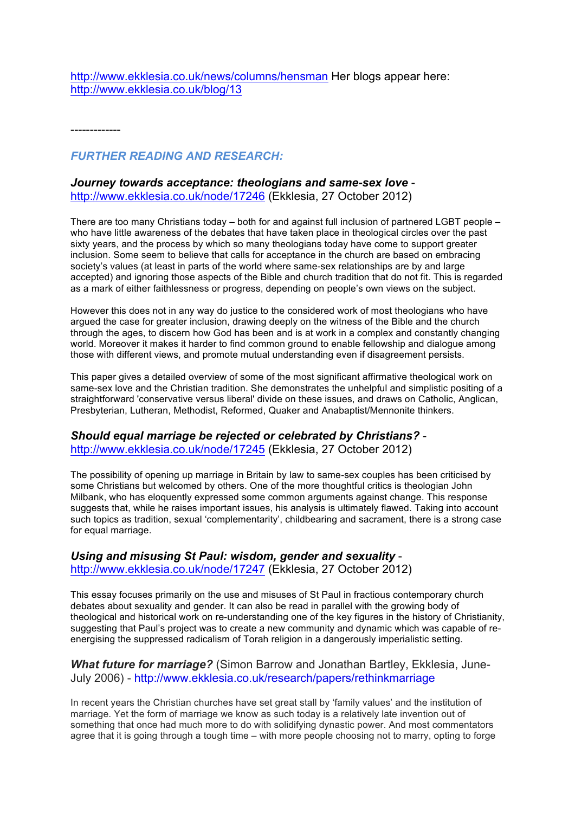http://www.ekklesia.co.uk/news/columns/hensman Her blogs appear here: http://www.ekklesia.co.uk/blog/13

-------------

### *FURTHER READING AND RESEARCH:*

#### *Journey towards acceptance: theologians and same-sex love* http://www.ekklesia.co.uk/node/17246 (Ekklesia, 27 October 2012)

There are too many Christians today – both for and against full inclusion of partnered LGBT people – who have little awareness of the debates that have taken place in theological circles over the past sixty years, and the process by which so many theologians today have come to support greater inclusion. Some seem to believe that calls for acceptance in the church are based on embracing society's values (at least in parts of the world where same-sex relationships are by and large accepted) and ignoring those aspects of the Bible and church tradition that do not fit. This is regarded as a mark of either faithlessness or progress, depending on people's own views on the subject.

However this does not in any way do justice to the considered work of most theologians who have argued the case for greater inclusion, drawing deeply on the witness of the Bible and the church through the ages, to discern how God has been and is at work in a complex and constantly changing world. Moreover it makes it harder to find common ground to enable fellowship and dialogue among those with different views, and promote mutual understanding even if disagreement persists.

This paper gives a detailed overview of some of the most significant affirmative theological work on same-sex love and the Christian tradition. She demonstrates the unhelpful and simplistic positing of a straightforward 'conservative versus liberal' divide on these issues, and draws on Catholic, Anglican, Presbyterian, Lutheran, Methodist, Reformed, Quaker and Anabaptist/Mennonite thinkers.

#### *Should equal marriage be rejected or celebrated by Christians?* -

http://www.ekklesia.co.uk/node/17245 (Ekklesia, 27 October 2012)

The possibility of opening up marriage in Britain by law to same-sex couples has been criticised by some Christians but welcomed by others. One of the more thoughtful critics is theologian John Milbank, who has eloquently expressed some common arguments against change. This response suggests that, while he raises important issues, his analysis is ultimately flawed. Taking into account such topics as tradition, sexual 'complementarity', childbearing and sacrament, there is a strong case for equal marriage.

#### *Using and misusing St Paul: wisdom, gender and sexuality* http://www.ekklesia.co.uk/node/17247 (Ekklesia, 27 October 2012)

This essay focuses primarily on the use and misuses of St Paul in fractious contemporary church debates about sexuality and gender. It can also be read in parallel with the growing body of theological and historical work on re-understanding one of the key figures in the history of Christianity, suggesting that Paul's project was to create a new community and dynamic which was capable of reenergising the suppressed radicalism of Torah religion in a dangerously imperialistic setting.

*What future for marriage?* (Simon Barrow and Jonathan Bartley, Ekklesia, June-July 2006) - http://www.ekklesia.co.uk/research/papers/rethinkmarriage

In recent years the Christian churches have set great stall by 'family values' and the institution of marriage. Yet the form of marriage we know as such today is a relatively late invention out of something that once had much more to do with solidifying dynastic power. And most commentators agree that it is going through a tough time – with more people choosing not to marry, opting to forge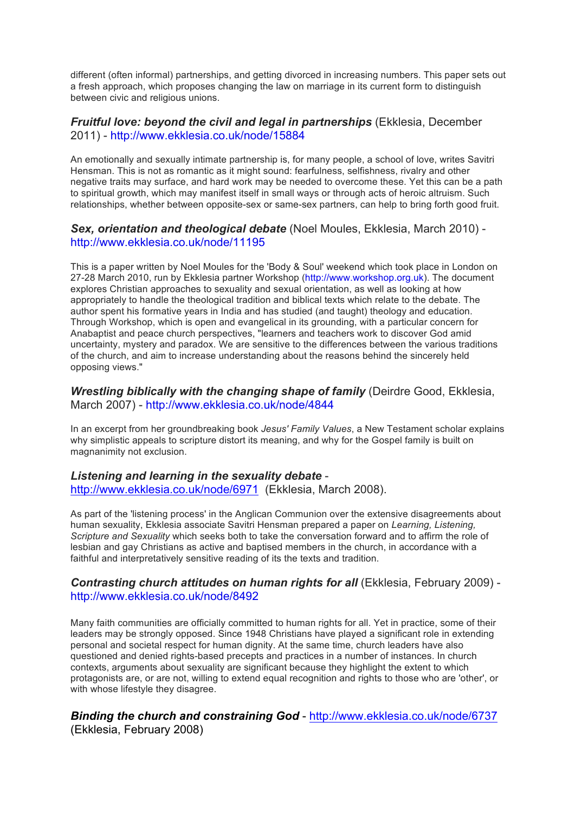different (often informal) partnerships, and getting divorced in increasing numbers. This paper sets out a fresh approach, which proposes changing the law on marriage in its current form to distinguish between civic and religious unions.

### *Fruitful love: beyond the civil and legal in partnerships* (Ekklesia, December 2011) - http://www.ekklesia.co.uk/node/15884

An emotionally and sexually intimate partnership is, for many people, a school of love, writes Savitri Hensman. This is not as romantic as it might sound: fearfulness, selfishness, rivalry and other negative traits may surface, and hard work may be needed to overcome these. Yet this can be a path to spiritual growth, which may manifest itself in small ways or through acts of heroic altruism. Such relationships, whether between opposite-sex or same-sex partners, can help to bring forth good fruit.

### *Sex, orientation and theological debate* (Noel Moules, Ekklesia, March 2010) http://www.ekklesia.co.uk/node/11195

This is a paper written by Noel Moules for the 'Body & Soul' weekend which took place in London on 27-28 March 2010, run by Ekklesia partner Workshop (http://www.workshop.org.uk). The document explores Christian approaches to sexuality and sexual orientation, as well as looking at how appropriately to handle the theological tradition and biblical texts which relate to the debate. The author spent his formative years in India and has studied (and taught) theology and education. Through Workshop, which is open and evangelical in its grounding, with a particular concern for Anabaptist and peace church perspectives, "learners and teachers work to discover God amid uncertainty, mystery and paradox. We are sensitive to the differences between the various traditions of the church, and aim to increase understanding about the reasons behind the sincerely held opposing views."

*Wrestling biblically with the changing shape of family* (Deirdre Good, Ekklesia, March 2007) - http://www.ekklesia.co.uk/node/4844

In an excerpt from her groundbreaking book *Jesus' Family Values*, a New Testament scholar explains why simplistic appeals to scripture distort its meaning, and why for the Gospel family is built on magnanimity not exclusion.

# *Listening and learning in the sexuality debate* -

http://www.ekklesia.co.uk/node/6971 (Ekklesia, March 2008).

As part of the 'listening process' in the Anglican Communion over the extensive disagreements about human sexuality, Ekklesia associate Savitri Hensman prepared a paper on *Learning, Listening, Scripture and Sexuality* which seeks both to take the conversation forward and to affirm the role of lesbian and gay Christians as active and baptised members in the church, in accordance with a faithful and interpretatively sensitive reading of its the texts and tradition.

### *Contrasting church attitudes on human rights for all* (Ekklesia, February 2009) http://www.ekklesia.co.uk/node/8492

Many faith communities are officially committed to human rights for all. Yet in practice, some of their leaders may be strongly opposed. Since 1948 Christians have played a significant role in extending personal and societal respect for human dignity. At the same time, church leaders have also questioned and denied rights-based precepts and practices in a number of instances. In church contexts, arguments about sexuality are significant because they highlight the extent to which protagonists are, or are not, willing to extend equal recognition and rights to those who are 'other', or with whose lifestyle they disagree.

### *Binding the church and constraining God* - http://www.ekklesia.co.uk/node/6737 (Ekklesia, February 2008)